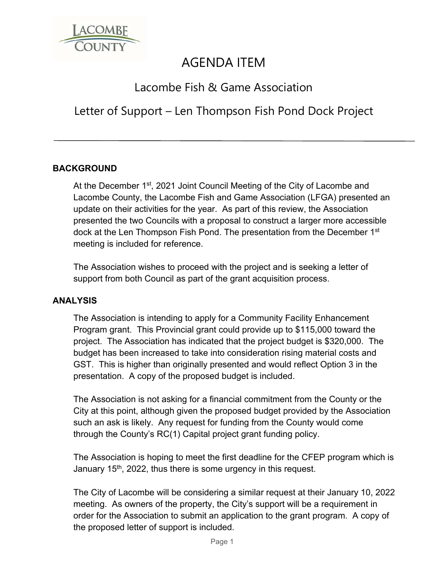

# AGENDA ITEM

# Lacombe Fish & Game Association

# Letter of Support – Len Thompson Fish Pond Dock Project

### **BACKGROUND**

At the December 1<sup>st</sup>, 2021 Joint Council Meeting of the City of Lacombe and Lacombe County, the Lacombe Fish and Game Association (LFGA) presented an update on their activities for the year. As part of this review, the Association presented the two Councils with a proposal to construct a larger more accessible dock at the Len Thompson Fish Pond. The presentation from the December 1<sup>st</sup> meeting is included for reference.

The Association wishes to proceed with the project and is seeking a letter of support from both Council as part of the grant acquisition process.

#### **ANALYSIS**

The Association is intending to apply for a Community Facility Enhancement Program grant. This Provincial grant could provide up to \$115,000 toward the project. The Association has indicated that the project budget is \$320,000. The budget has been increased to take into consideration rising material costs and GST. This is higher than originally presented and would reflect Option 3 in the presentation. A copy of the proposed budget is included.

The Association is not asking for a financial commitment from the County or the City at this point, although given the proposed budget provided by the Association such an ask is likely. Any request for funding from the County would come through the County's RC(1) Capital project grant funding policy.

The Association is hoping to meet the first deadline for the CFEP program which is January  $15<sup>th</sup>$ , 2022, thus there is some urgency in this request.

The City of Lacombe will be considering a similar request at their January 10, 2022 meeting. As owners of the property, the City's support will be a requirement in order for the Association to submit an application to the grant program. A copy of the proposed letter of support is included.